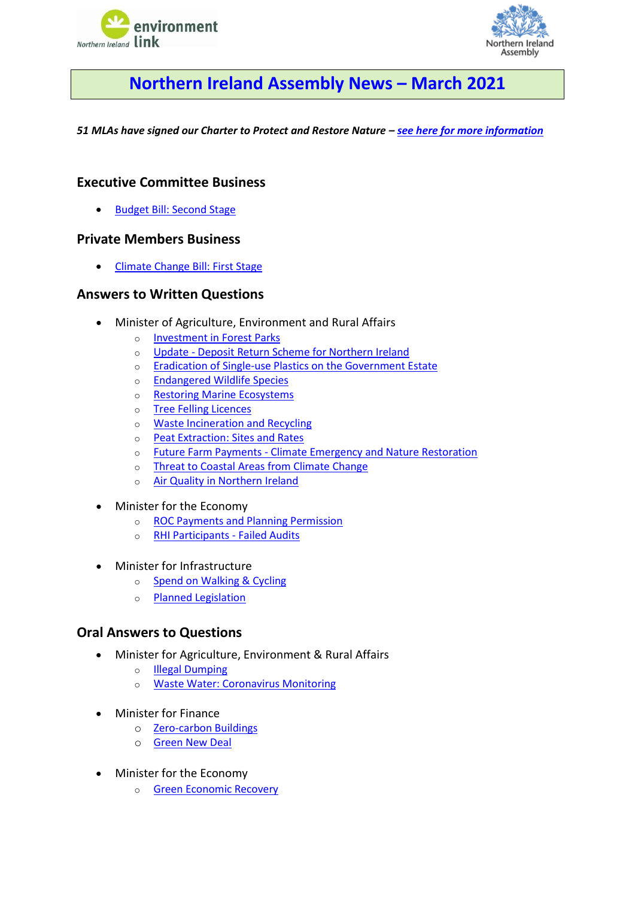



# **Northern Ireland Assembly News – March 2021**

<span id="page-0-0"></span>*51 MLAs have signed our Charter to Protect and Restore Nature – [see here for more information](https://www.nienvironmentlink.org/nature-matters-ni/mla-charter-to-protect-and-restore-nature)*

## **Executive Committee Business**

• [Budget Bill: Second Stage](#page-1-0)

## **Private Members Business**

• [Climate Change Bill: First Stage](#page-1-1)

## **Answers to Written Questions**

- Minister of Agriculture, Environment and Rural Affairs
	- o [Investment in Forest Parks](#page-1-2)
	- o Update [Deposit Return Scheme for Northern Ireland](#page-2-0)
	- o [Eradication of Single-use Plastics on the Government Estate](#page-2-1)
	- o [Endangered Wildlife Species](#page-2-2)
	- o [Restoring Marine Ecosystems](#page-2-3)
	- o [Tree Felling Licences](#page-3-0)
	- o [Waste Incineration and Recycling](#page-3-1)
	- o [Peat Extraction: Sites and Rates](#page-3-2)
	- o Future Farm Payments [Climate Emergency and Nature Restoration](#page-4-0)
	- o [Threat to Coastal Areas from Climate Change](#page-4-1)
	- o [Air Quality in Northern Ireland](#page-4-2)
- Minister for the Economy
	- o [ROC Payments and Planning Permission](#page-5-0)
	- o [RHI Participants -](#page-5-1) Failed Audits
- Minister for Infrastructure
	- o [Spend on Walking & Cycling](#page-5-2)
	- o [Planned Legislation](#page-5-3)

### **Oral Answers to Questions**

- Minister for Agriculture, Environment & Rural Affairs
	- o [Illegal Dumping](#page-6-0)
	- o [Waste Water: Coronavirus Monitoring](#page-6-1)
- Minister for Finance
	- o [Zero-carbon Buildings](#page-7-0)
	- o [Green New Deal](#page-7-1)
- Minister for the Economy
	- o [Green Economic Recovery](#page-6-2)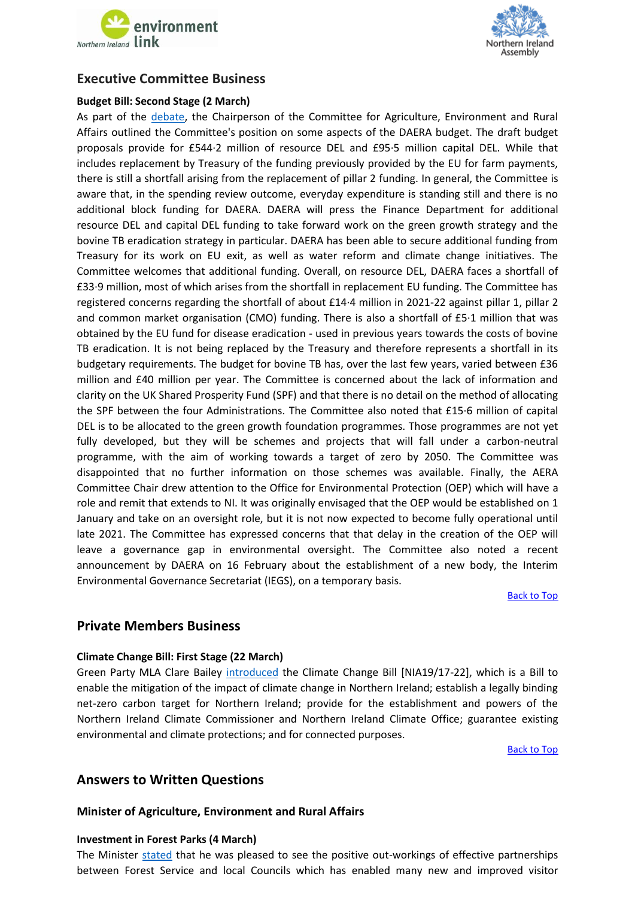



# **Executive Committee Business**

#### <span id="page-1-0"></span>**Budget Bill: Second Stage (2 March)**

As part of the [debate,](http://aims.niassembly.gov.uk/officialreport/report.aspx?&eveDate=2021/03/02&docID=328384#3300841) the Chairperson of the Committee for Agriculture, Environment and Rural Affairs outlined the Committee's position on some aspects of the DAERA budget. The draft budget proposals provide for £544·2 million of resource DEL and £95·5 million capital DEL. While that includes replacement by Treasury of the funding previously provided by the EU for farm payments, there is still a shortfall arising from the replacement of pillar 2 funding. In general, the Committee is aware that, in the spending review outcome, everyday expenditure is standing still and there is no additional block funding for DAERA. DAERA will press the Finance Department for additional resource DEL and capital DEL funding to take forward work on the green growth strategy and the bovine TB eradication strategy in particular. DAERA has been able to secure additional funding from Treasury for its work on EU exit, as well as water reform and climate change initiatives. The Committee welcomes that additional funding. Overall, on resource DEL, DAERA faces a shortfall of £33·9 million, most of which arises from the shortfall in replacement EU funding. The Committee has registered concerns regarding the shortfall of about £14·4 million in 2021-22 against pillar 1, pillar 2 and common market organisation (CMO) funding. There is also a shortfall of £5·1 million that was obtained by the EU fund for disease eradication - used in previous years towards the costs of bovine TB eradication. It is not being replaced by the Treasury and therefore represents a shortfall in its budgetary requirements. The budget for bovine TB has, over the last few years, varied between £36 million and £40 million per year. The Committee is concerned about the lack of information and clarity on the UK Shared Prosperity Fund (SPF) and that there is no detail on the method of allocating the SPF between the four Administrations. The Committee also noted that £15·6 million of capital DEL is to be allocated to the green growth foundation programmes. Those programmes are not yet fully developed, but they will be schemes and projects that will fall under a carbon-neutral programme, with the aim of working towards a target of zero by 2050. The Committee was disappointed that no further information on those schemes was available. Finally, the AERA Committee Chair drew attention to the Office for Environmental Protection (OEP) which will have a role and remit that extends to NI. It was originally envisaged that the OEP would be established on 1 January and take on an oversight role, but it is not now expected to become fully operational until late 2021. The Committee has expressed concerns that that delay in the creation of the OEP will leave a governance gap in environmental oversight. The Committee also noted a recent announcement by DAERA on 16 February about the establishment of a new body, the Interim Environmental Governance Secretariat (IEGS), on a temporary basis.

[Back to Top](#page-0-0)

## **Private Members Business**

#### <span id="page-1-1"></span>**Climate Change Bill: First Stage (22 March)**

Green Party MLA Clare Bailey [introduced](http://aims.niassembly.gov.uk/officialreport/report.aspx?&eveDate=2021/03/22&docID=331532#3350184) the Climate Change Bill [NIA19/17-22], which is a Bill to enable the mitigation of the impact of climate change in Northern Ireland; establish a legally binding net-zero carbon target for Northern Ireland; provide for the establishment and powers of the Northern Ireland Climate Commissioner and Northern Ireland Climate Office; guarantee existing environmental and climate protections; and for connected purposes.

[Back to Top](#page-0-0)

# **Answers to Written Questions**

### **Minister of Agriculture, Environment and Rural Affairs**

#### <span id="page-1-2"></span>**Investment in Forest Parks (4 March)**

The Minister [stated](http://aims.niassembly.gov.uk/questions/printquestionsummary.aspx?docid=329786) that he was pleased to see the positive out-workings of effective partnerships between Forest Service and local Councils which has enabled many new and improved visitor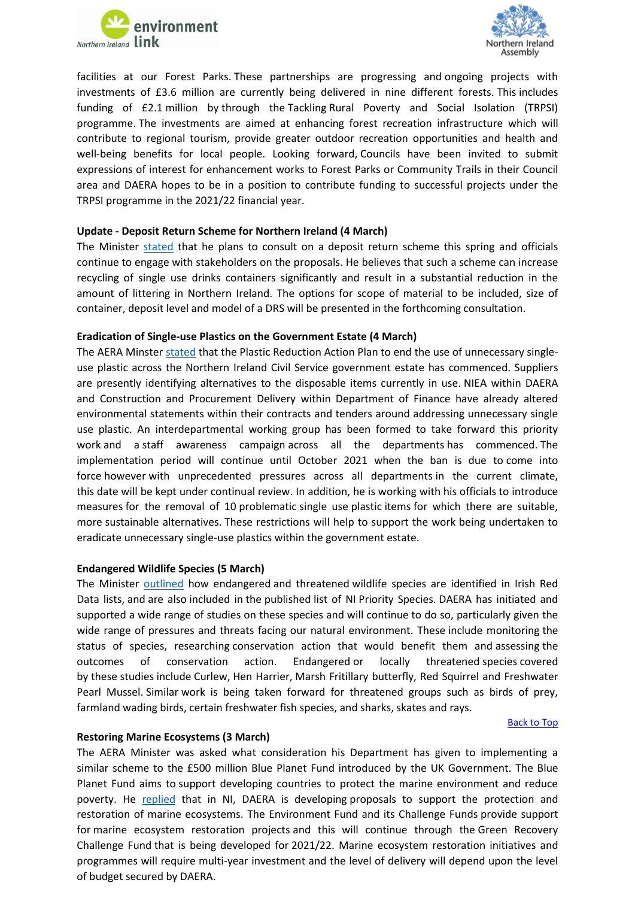



facilities at our Forest Parks. These partnerships are progressing and ongoing projects with investments of £3.6 million are currently being delivered in nine different forests. This includes funding of £2.1 million by through the Tackling Rural Poverty and Social Isolation (TRPSI) programme. The investments are aimed at enhancing forest recreation infrastructure which will contribute to regional tourism, provide greater outdoor recreation opportunities and health and well-being benefits for local people. Looking forward, Councils have been invited to submit expressions of interest for enhancement works to Forest Parks or Community Trails in their Council area and DAERA hopes to be in a position to contribute funding to successful projects under the TRPSI programme in the 2021/22 financial year.

#### <span id="page-2-0"></span>**Update - Deposit Return Scheme for Northern Ireland (4 March)**

The Minister [stated](http://aims.niassembly.gov.uk/questions/printquestionsummary.aspx?docid=329780) that he plans to consult on a deposit return scheme this spring and officials continue to engage with stakeholders on the proposals. He believes that such a scheme can increase recycling of single use drinks containers significantly and result in a substantial reduction in the amount of littering in Northern Ireland. The options for scope of material to be included, size of container, deposit level and model of a DRS will be presented in the forthcoming consultation.

#### <span id="page-2-1"></span>**Eradication of Single-use Plastics on the Government Estate (4 March)**

The AERA Minster [stated](http://aims.niassembly.gov.uk/questions/printquestionsummary.aspx?docid=329095) that the Plastic Reduction Action Plan to end the use of unnecessary singleuse plastic across the Northern Ireland Civil Service government estate has commenced. Suppliers are presently identifying alternatives to the disposable items currently in use. NIEA within DAERA and Construction and Procurement Delivery within Department of Finance have already altered environmental statements within their contracts and tenders around addressing unnecessary single use plastic. An interdepartmental working group has been formed to take forward this priority work and a staff awareness campaign across all the departments has commenced. The implementation period will continue until October 2021 when the ban is due to come into force however with unprecedented pressures across all departments in the current climate, this date will be kept under continual review. In addition, he is working with his officials to introduce measures for the removal of 10 problematic single use plastic items for which there are suitable, more sustainable alternatives. These restrictions will help to support the work being undertaken to eradicate unnecessary single-use plastics within the government estate.

#### <span id="page-2-2"></span>**Endangered Wildlife Species (5 March)**

The Minister [outlined](http://aims.niassembly.gov.uk/questions/printquestionsummary.aspx?docid=327563) how endangered and threatened wildlife species are identified in Irish Red Data lists, and are also included in the published list of NI Priority Species. DAERA has initiated and supported a wide range of studies on these species and will continue to do so, particularly given the wide range of pressures and threats facing our natural environment. These include monitoring the status of species, researching conservation action that would benefit them and assessing the outcomes of conservation action. Endangered or locally threatened species covered by these studies include Curlew, Hen Harrier, Marsh Fritillary butterfly, Red Squirrel and Freshwater Pearl Mussel. Similar work is being taken forward for threatened groups such as birds of prey, farmland wading birds, certain freshwater fish species, and sharks, skates and rays.

#### [Back to Top](#page-0-0)

#### <span id="page-2-3"></span>**Restoring Marine Ecosystems (3 March)**

The AERA Minister was asked what consideration his Department has given to implementing a similar scheme to the £500 million Blue Planet Fund introduced by the UK Government. The Blue Planet Fund aims to support developing countries to protect the marine environment and reduce poverty. He [replied](http://aims.niassembly.gov.uk/questions/printquestionsummary.aspx?docid=327255) that in NI, DAERA is developing proposals to support the protection and restoration of marine ecosystems. The Environment Fund and its Challenge Funds provide support for marine ecosystem restoration projects and this will continue through the Green Recovery Challenge Fund that is being developed for 2021/22. Marine ecosystem restoration initiatives and programmes will require multi-year investment and the level of delivery will depend upon the level of budget secured by DAERA.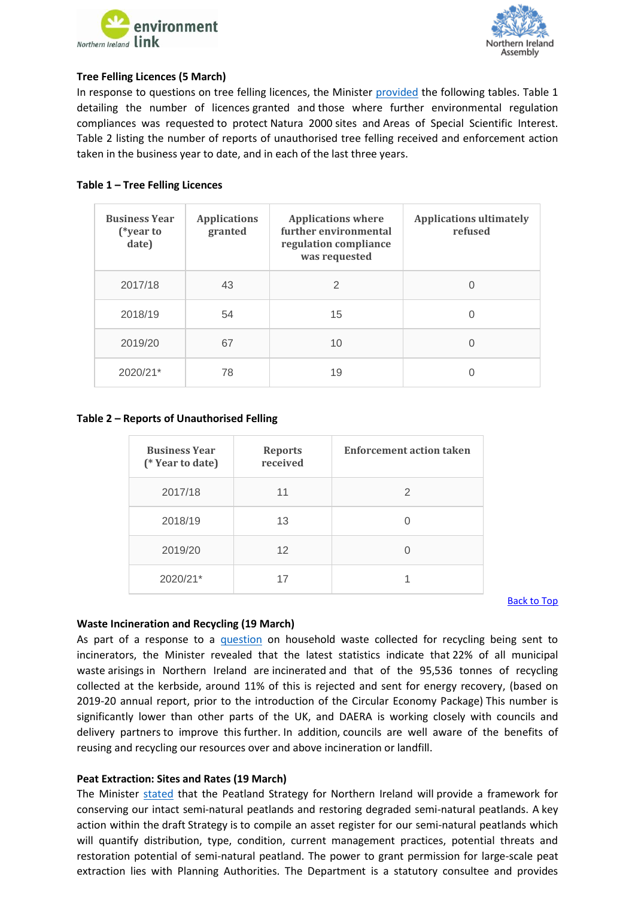



#### <span id="page-3-0"></span>**Tree Felling Licences (5 March)**

In response to questions on tree felling licences, the Minister [provided](http://aims.niassembly.gov.uk/questions/printquestionsummary.aspx?docid=323263) the following tables. Table 1 detailing the number of licences granted and those where further environmental regulation compliances was requested to protect Natura 2000 sites and Areas of Special Scientific Interest. Table 2 listing the number of reports of unauthorised tree felling received and enforcement action taken in the business year to date, and in each of the last three years.

### **Table 1 – Tree Felling Licences**

| <b>Business Year</b><br>(*year to<br>date) | <b>Applications</b><br>granted | <b>Applications where</b><br>further environmental<br>regulation compliance<br>was requested | <b>Applications ultimately</b><br>refused |
|--------------------------------------------|--------------------------------|----------------------------------------------------------------------------------------------|-------------------------------------------|
| 2017/18                                    | 43                             | $\mathfrak{D}$                                                                               | $\left( \right)$                          |
| 2018/19                                    | 54                             | 15                                                                                           | 0                                         |
| 2019/20                                    | 67                             | 10                                                                                           | 0                                         |
| 2020/21*                                   | 78                             | 19                                                                                           |                                           |

#### **Table 2 – Reports of Unauthorised Felling**

| <b>Business Year</b><br>(* Year to date) | <b>Reports</b><br>received | <b>Enforcement action taken</b> |
|------------------------------------------|----------------------------|---------------------------------|
| 2017/18                                  | 11                         | 2                               |
| 2018/19                                  | 13                         |                                 |
| 2019/20                                  | 12                         |                                 |
| 2020/21*                                 | 17                         |                                 |

[Back to Top](#page-0-0)

#### <span id="page-3-1"></span>**Waste Incineration and Recycling (19 March)**

As part of a response to a [question](http://aims.niassembly.gov.uk/questions/printquestionsummary.aspx?docid=330752) on household waste collected for recycling being sent to incinerators, the Minister revealed that the latest statistics indicate that 22% of all municipal waste arisings in Northern Ireland are incinerated and that of the 95,536 tonnes of recycling collected at the kerbside, around 11% of this is rejected and sent for energy recovery, (based on 2019-20 annual report, prior to the introduction of the Circular Economy Package) This number is significantly lower than other parts of the UK, and DAERA is working closely with councils and delivery partners to improve this further. In addition, councils are well aware of the benefits of reusing and recycling our resources over and above incineration or landfill.

#### <span id="page-3-2"></span>**Peat Extraction: Sites and Rates (19 March)**

The Minister [stated](http://aims.niassembly.gov.uk/questions/printquestionsummary.aspx?docid=330216) that the Peatland Strategy for Northern Ireland will provide a framework for conserving our intact semi-natural peatlands and restoring degraded semi-natural peatlands. A key action within the draft Strategy is to compile an asset register for our semi-natural peatlands which will quantify distribution, type, condition, current management practices, potential threats and restoration potential of semi-natural peatland. The power to grant permission for large-scale peat extraction lies with Planning Authorities. The Department is a statutory consultee and provides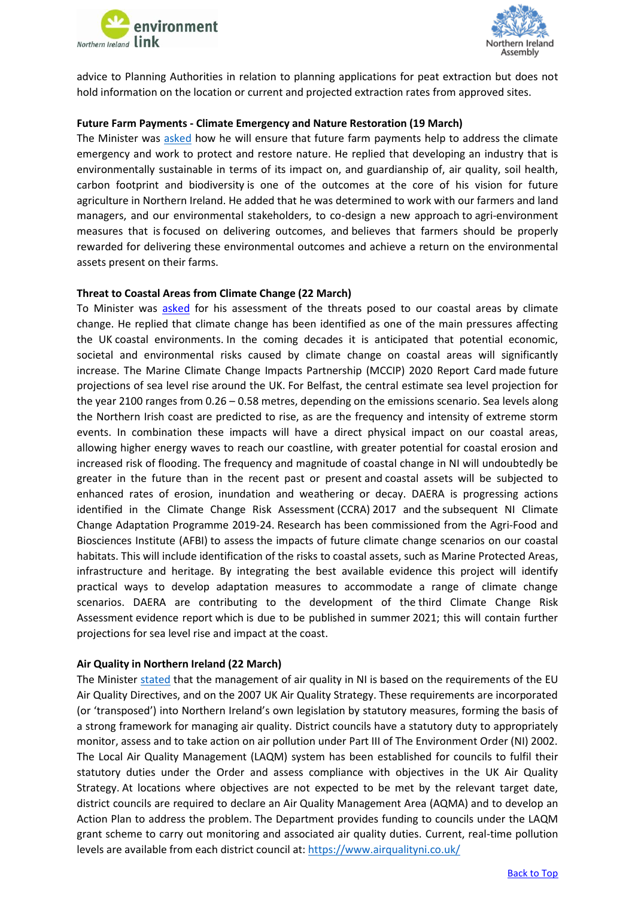



advice to Planning Authorities in relation to planning applications for peat extraction but does not hold information on the location or current and projected extraction rates from approved sites.

#### <span id="page-4-0"></span>**Future Farm Payments - Climate Emergency and Nature Restoration (19 March)**

The Minister was [asked](http://aims.niassembly.gov.uk/questions/printquestionsummary.aspx?docid=330215) how he will ensure that future farm payments help to address the climate emergency and work to protect and restore nature. He replied that developing an industry that is environmentally sustainable in terms of its impact on, and guardianship of, air quality, soil health, carbon footprint and biodiversity is one of the outcomes at the core of his vision for future agriculture in Northern Ireland. He added that he was determined to work with our farmers and land managers, and our environmental stakeholders, to co-design a new approach to agri-environment measures that is focused on delivering outcomes, and believes that farmers should be properly rewarded for delivering these environmental outcomes and achieve a return on the environmental assets present on their farms.

#### <span id="page-4-1"></span>**Threat to Coastal Areas from Climate Change (22 March)**

To Minister was [asked](http://aims.niassembly.gov.uk/questions/printquestionsummary.aspx?docid=330862) for his assessment of the threats posed to our coastal areas by climate change. He replied that climate change has been identified as one of the main pressures affecting the UK coastal environments. In the coming decades it is anticipated that potential economic, societal and environmental risks caused by climate change on coastal areas will significantly increase. The Marine Climate Change Impacts Partnership (MCCIP) 2020 Report Card made future projections of sea level rise around the UK. For Belfast, the central estimate sea level projection for the year 2100 ranges from 0.26 – 0.58 metres, depending on the emissions scenario. Sea levels along the Northern Irish coast are predicted to rise, as are the frequency and intensity of extreme storm events. In combination these impacts will have a direct physical impact on our coastal areas, allowing higher energy waves to reach our coastline, with greater potential for coastal erosion and increased risk of flooding. The frequency and magnitude of coastal change in NI will undoubtedly be greater in the future than in the recent past or present and coastal assets will be subjected to enhanced rates of erosion, inundation and weathering or decay. DAERA is progressing actions identified in the Climate Change Risk Assessment (CCRA) 2017 and the subsequent NI Climate Change Adaptation Programme 2019-24. Research has been commissioned from the Agri-Food and Biosciences Institute (AFBI) to assess the impacts of future climate change scenarios on our coastal habitats. This will include identification of the risks to coastal assets, such as Marine Protected Areas, infrastructure and heritage. By integrating the best available evidence this project will identify practical ways to develop adaptation measures to accommodate a range of climate change scenarios. DAERA are contributing to the development of the third Climate Change Risk Assessment evidence report which is due to be published in summer 2021; this will contain further projections for sea level rise and impact at the coast.

#### <span id="page-4-2"></span>**Air Quality in Northern Ireland (22 March)**

The Ministe[r stated](http://aims.niassembly.gov.uk/questions/printquestionsummary.aspx?docid=330723) that the management of air quality in NI is based on the requirements of the EU Air Quality Directives, and on the 2007 UK Air Quality Strategy. These requirements are incorporated (or 'transposed') into Northern Ireland's own legislation by statutory measures, forming the basis of a strong framework for managing air quality. District councils have a statutory duty to appropriately monitor, assess and to take action on air pollution under Part III of The Environment Order (NI) 2002. The Local Air Quality Management (LAQM) system has been established for councils to fulfil their statutory duties under the Order and assess compliance with objectives in the UK Air Quality Strategy. At locations where objectives are not expected to be met by the relevant target date, district councils are required to declare an Air Quality Management Area (AQMA) and to develop an Action Plan to address the problem. The Department provides funding to councils under the LAQM grant scheme to carry out monitoring and associated air quality duties. Current, real-time pollution levels are available from each district council at: <https://www.airqualityni.co.uk/>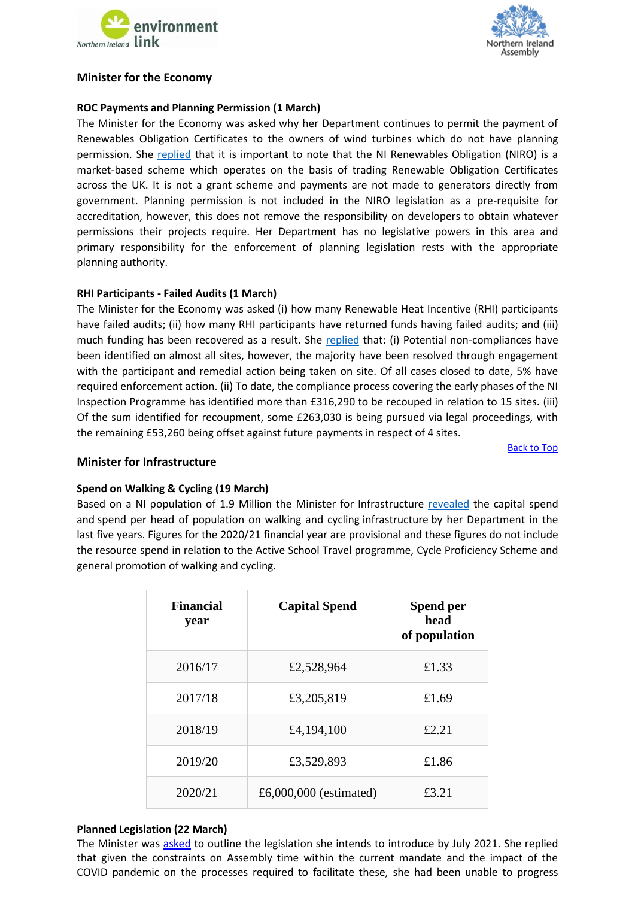



### **Minister for the Economy**

### <span id="page-5-0"></span>**ROC Payments and Planning Permission (1 March)**

The Minister for the Economy was asked why her Department continues to permit the payment of Renewables Obligation Certificates to the owners of wind turbines which do not have planning permission. She [replied](http://aims.niassembly.gov.uk/questions/printquestionsummary.aspx?docid=327367) that it is important to note that the NI Renewables Obligation (NIRO) is a market-based scheme which operates on the basis of trading Renewable Obligation Certificates across the UK. It is not a grant scheme and payments are not made to generators directly from government. Planning permission is not included in the NIRO legislation as a pre-requisite for accreditation, however, this does not remove the responsibility on developers to obtain whatever permissions their projects require. Her Department has no legislative powers in this area and primary responsibility for the enforcement of planning legislation rests with the appropriate planning authority.

#### <span id="page-5-1"></span>**RHI Participants - Failed Audits (1 March)**

The Minister for the Economy was asked (i) how many Renewable Heat Incentive (RHI) participants have failed audits; (ii) how many RHI participants have returned funds having failed audits; and (iii) much funding has been recovered as a result. She [replied](http://aims.niassembly.gov.uk/questions/printquestionsummary.aspx?docid=326772) that: (i) Potential non-compliances have been identified on almost all sites, however, the majority have been resolved through engagement with the participant and remedial action being taken on site. Of all cases closed to date, 5% have required enforcement action. (ii) To date, the compliance process covering the early phases of the NI Inspection Programme has identified more than £316,290 to be recouped in relation to 15 sites. (iii) Of the sum identified for recoupment, some £263,030 is being pursued via legal proceedings, with the remaining £53,260 being offset against future payments in respect of 4 sites.

[Back to Top](#page-0-0)

#### **Minister for Infrastructure**

### <span id="page-5-2"></span>**Spend on Walking & Cycling (19 March)**

Based on a NI population of 1.9 Million the Minister for Infrastructure [revealed](http://aims.niassembly.gov.uk/questions/printquestionsummary.aspx?docid=327348) the capital spend and spend per head of population on walking and cycling infrastructure by her Department in the last five years. Figures for the 2020/21 financial year are provisional and these figures do not include the resource spend in relation to the Active School Travel programme, Cycle Proficiency Scheme and general promotion of walking and cycling.

| <b>Financial</b><br>year | <b>Capital Spend</b>   | Spend per<br>head<br>of population |
|--------------------------|------------------------|------------------------------------|
| 2016/17                  | £2,528,964             | £1.33                              |
| 2017/18                  | £3,205,819             | £1.69                              |
| 2018/19                  | £4,194,100             | £2.21                              |
| 2019/20                  | £3,529,893             | £1.86                              |
| 2020/21                  | £6,000,000 (estimated) | £3.21                              |

#### <span id="page-5-3"></span>**Planned Legislation (22 March)**

The Minister was [asked](http://aims.niassembly.gov.uk/questions/printquestionsummary.aspx?docid=332420) to outline the legislation she intends to introduce by July 2021. She replied that given the constraints on Assembly time within the current mandate and the impact of the COVID pandemic on the processes required to facilitate these, she had been unable to progress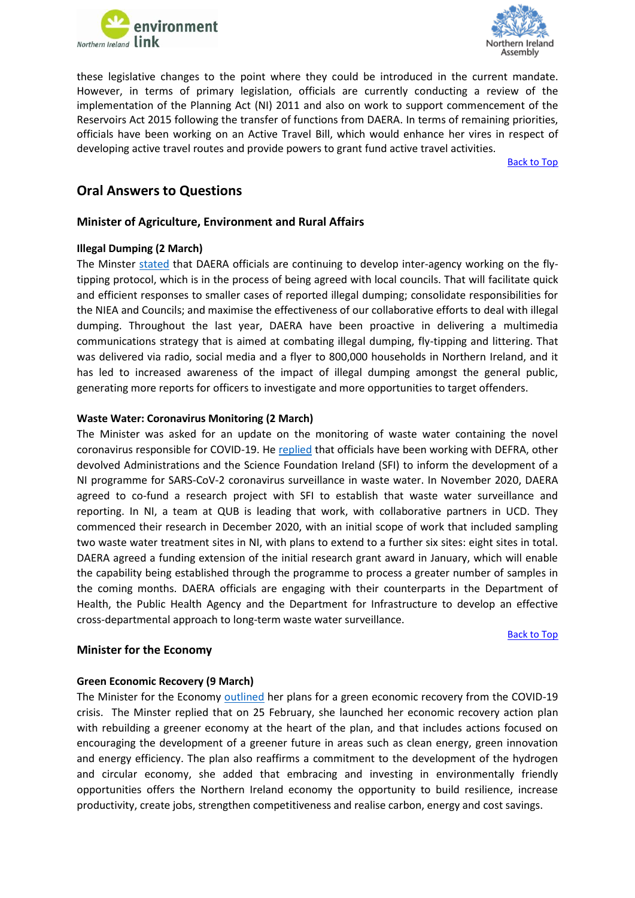



these legislative changes to the point where they could be introduced in the current mandate. However, in terms of primary legislation, officials are currently conducting a review of the implementation of the Planning Act (NI) 2011 and also on work to support commencement of the Reservoirs Act 2015 following the transfer of functions from DAERA. In terms of remaining priorities, officials have been working on an Active Travel Bill, which would enhance her vires in respect of developing active travel routes and provide powers to grant fund active travel activities.

[Back to Top](#page-0-0)

# **Oral Answers to Questions**

### **Minister of Agriculture, Environment and Rural Affairs**

#### <span id="page-6-0"></span>**Illegal Dumping (2 March)**

The Minster [stated](http://aims.niassembly.gov.uk/officialreport/report.aspx?&eveDate=2021/03/02&docID=328384#3301003) that DAERA officials are continuing to develop inter-agency working on the flytipping protocol, which is in the process of being agreed with local councils. That will facilitate quick and efficient responses to smaller cases of reported illegal dumping; consolidate responsibilities for the NIEA and Councils; and maximise the effectiveness of our collaborative efforts to deal with illegal dumping. Throughout the last year, DAERA have been proactive in delivering a multimedia communications strategy that is aimed at combating illegal dumping, fly-tipping and littering. That was delivered via radio, social media and a flyer to 800,000 households in Northern Ireland, and it has led to increased awareness of the impact of illegal dumping amongst the general public, generating more reports for officers to investigate and more opportunities to target offenders.

#### <span id="page-6-1"></span>**Waste Water: Coronavirus Monitoring (2 March)**

The Minister was asked for an update on the monitoring of waste water containing the novel coronavirus responsible for COVID-19. He [replied](http://aims.niassembly.gov.uk/officialreport/report.aspx?&eveDate=2021/03/02&docID=328384#3301003) that officials have been working with DEFRA, other devolved Administrations and the Science Foundation Ireland (SFI) to inform the development of a NI programme for SARS-CoV-2 coronavirus surveillance in waste water. In November 2020, DAERA agreed to co-fund a research project with SFI to establish that waste water surveillance and reporting. In NI, a team at QUB is leading that work, with collaborative partners in UCD. They commenced their research in December 2020, with an initial scope of work that included sampling two waste water treatment sites in NI, with plans to extend to a further six sites: eight sites in total. DAERA agreed a funding extension of the initial research grant award in January, which will enable the capability being established through the programme to process a greater number of samples in the coming months. DAERA officials are engaging with their counterparts in the Department of Health, the Public Health Agency and the Department for Infrastructure to develop an effective cross-departmental approach to long-term waste water surveillance.

#### [Back to Top](#page-0-0)

# <span id="page-6-2"></span>**Green Economic Recovery (9 March)**

**Minister for the Economy**

The Minister for the Economy [outlined](http://aims.niassembly.gov.uk/officialreport/report.aspx?&eveDate=2021-03-09&docID=329455#AQO%201718/17-22) her plans for a green economic recovery from the COVID-19 crisis. The Minster replied that on 25 February, she launched her economic recovery action plan with rebuilding a greener economy at the heart of the plan, and that includes actions focused on encouraging the development of a greener future in areas such as clean energy, green innovation and energy efficiency. The plan also reaffirms a commitment to the development of the hydrogen and circular economy, she added that embracing and investing in environmentally friendly opportunities offers the Northern Ireland economy the opportunity to build resilience, increase productivity, create jobs, strengthen competitiveness and realise carbon, energy and cost savings.